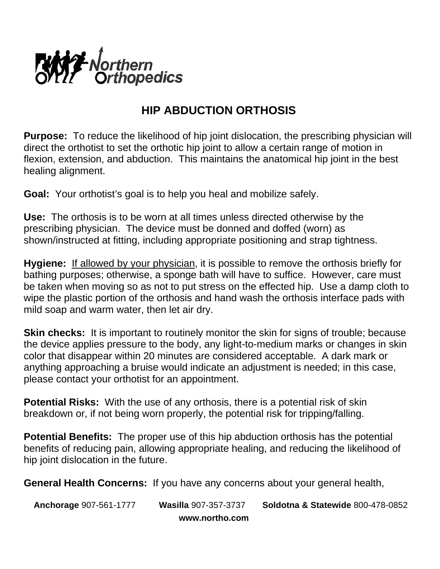

## **HIP ABDUCTION ORTHOSIS**

**Purpose:** To reduce the likelihood of hip joint dislocation, the prescribing physician will direct the orthotist to set the orthotic hip joint to allow a certain range of motion in flexion, extension, and abduction. This maintains the anatomical hip joint in the best healing alignment.

**Goal:** Your orthotist's goal is to help you heal and mobilize safely.

**Use:** The orthosis is to be worn at all times unless directed otherwise by the prescribing physician. The device must be donned and doffed (worn) as shown/instructed at fitting, including appropriate positioning and strap tightness.

**Hygiene:** If allowed by your physician, it is possible to remove the orthosis briefly for bathing purposes; otherwise, a sponge bath will have to suffice. However, care must be taken when moving so as not to put stress on the effected hip. Use a damp cloth to wipe the plastic portion of the orthosis and hand wash the orthosis interface pads with mild soap and warm water, then let air dry.

**Skin checks:** It is important to routinely monitor the skin for signs of trouble; because the device applies pressure to the body, any light-to-medium marks or changes in skin color that disappear within 20 minutes are considered acceptable. A dark mark or anything approaching a bruise would indicate an adjustment is needed; in this case, please contact your orthotist for an appointment.

**Potential Risks:** With the use of any orthosis, there is a potential risk of skin breakdown or, if not being worn properly, the potential risk for tripping/falling.

**Potential Benefits:** The proper use of this hip abduction orthosis has the potential benefits of reducing pain, allowing appropriate healing, and reducing the likelihood of hip joint dislocation in the future.

**General Health Concerns:** If you have any concerns about your general health,

**Anchorage** 907-561-1777 **Wasilla** 907-357-3737 **Soldotna & Statewide** 800-478-0852 **www.northo.com**